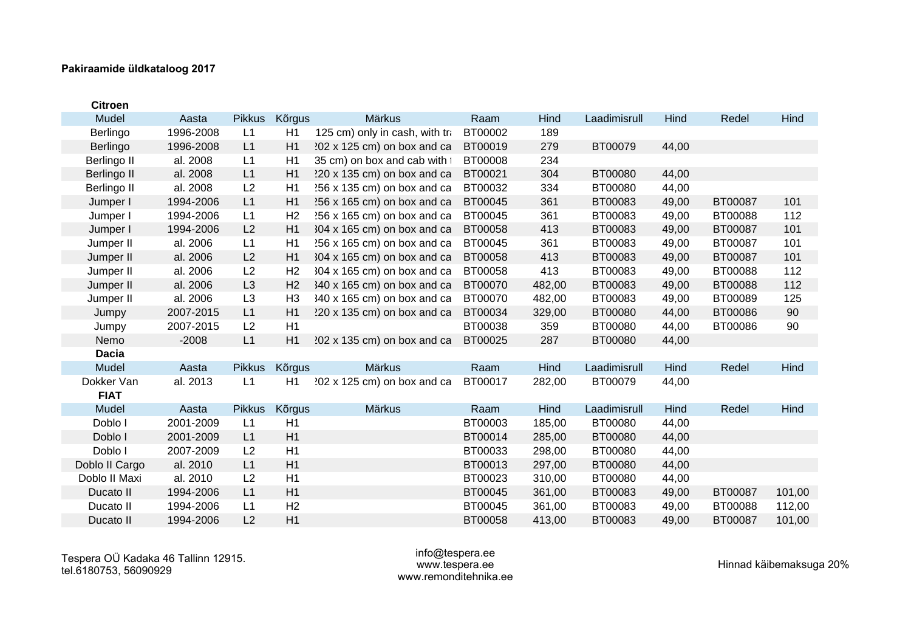| <b>Citroen</b> |           |                |                |                                    |         |        |              |       |         |        |
|----------------|-----------|----------------|----------------|------------------------------------|---------|--------|--------------|-------|---------|--------|
| Mudel          | Aasta     | <b>Pikkus</b>  | Kõrgus         | Märkus                             | Raam    | Hind   | Laadimisrull | Hind  | Redel   | Hind   |
| Berlingo       | 1996-2008 | L1             | H1             | 125 cm) only in cash, with tra     | BT00002 | 189    |              |       |         |        |
| Berlingo       | 1996-2008 | L1             | H1             | $202 \times 125$ cm) on box and ca | BT00019 | 279    | BT00079      | 44,00 |         |        |
| Berlingo II    | al. 2008  | L1             | H1             | 35 cm) on box and cab with t       | BT00008 | 234    |              |       |         |        |
| Berlingo II    | al. 2008  | L1             | H1             | 220 x 135 cm) on box and ca        | BT00021 | 304    | BT00080      | 44,00 |         |        |
| Berlingo II    | al. 2008  | L2             | H1             | 256 x 135 cm) on box and ca        | BT00032 | 334    | BT00080      | 44,00 |         |        |
| Jumper I       | 1994-2006 | L1             | H1             | $256 \times 165$ cm) on box and ca | BT00045 | 361    | BT00083      | 49,00 | BT00087 | 101    |
| Jumper I       | 1994-2006 | L1             | H <sub>2</sub> | 256 x 165 cm) on box and ca        | BT00045 | 361    | BT00083      | 49,00 | BT00088 | 112    |
| Jumper I       | 1994-2006 | L2             | H1             | $304 \times 165$ cm) on box and ca | BT00058 | 413    | BT00083      | 49,00 | BT00087 | 101    |
| Jumper II      | al. 2006  | L1             | H1             | $256 \times 165$ cm) on box and ca | BT00045 | 361    | BT00083      | 49,00 | BT00087 | 101    |
| Jumper II      | al. 2006  | L2             | H1             | $304 \times 165$ cm) on box and ca | BT00058 | 413    | BT00083      | 49,00 | BT00087 | 101    |
| Jumper II      | al. 2006  | L2             | H <sub>2</sub> | $304 \times 165$ cm) on box and ca | BT00058 | 413    | BT00083      | 49,00 | BT00088 | 112    |
| Jumper II      | al. 2006  | L <sub>3</sub> | H <sub>2</sub> | 340 x 165 cm) on box and ca        | BT00070 | 482,00 | BT00083      | 49,00 | BT00088 | 112    |
| Jumper II      | al. 2006  | L3             | H <sub>3</sub> | 340 x 165 cm) on box and ca        | BT00070 | 482,00 | BT00083      | 49,00 | BT00089 | 125    |
| Jumpy          | 2007-2015 | L1             | H1             | 220 x 135 cm) on box and ca        | BT00034 | 329,00 | BT00080      | 44,00 | BT00086 | 90     |
| Jumpy          | 2007-2015 | L2             | H1             |                                    | BT00038 | 359    | BT00080      | 44,00 | BT00086 | 90     |
| Nemo           | $-2008$   | L1             | H1             | 202 x 135 cm) on box and ca        | BT00025 | 287    | BT00080      | 44,00 |         |        |
| <b>Dacia</b>   |           |                |                |                                    |         |        |              |       |         |        |
| Mudel          | Aasta     | <b>Pikkus</b>  | <b>Kõrgus</b>  | Märkus                             | Raam    | Hind   | Laadimisrull | Hind  | Redel   | Hind   |
| Dokker Van     | al. 2013  | L1             | H1             | 202 x 125 cm) on box and ca        | BT00017 | 282,00 | BT00079      | 44,00 |         |        |
| <b>FIAT</b>    |           |                |                |                                    |         |        |              |       |         |        |
| Mudel          | Aasta     | <b>Pikkus</b>  | Kõrgus         | Märkus                             | Raam    | Hind   | Laadimisrull | Hind  | Redel   | Hind   |
| Doblo I        | 2001-2009 | L1             | H1             |                                    | BT00003 | 185,00 | BT00080      | 44,00 |         |        |
| Doblo I        | 2001-2009 | L1             | H1             |                                    | BT00014 | 285,00 | BT00080      | 44,00 |         |        |
| Doblo I        | 2007-2009 | L2             | H1             |                                    | BT00033 | 298,00 | BT00080      | 44,00 |         |        |
| Doblo II Cargo | al. 2010  | L1             | H1             |                                    | BT00013 | 297,00 | BT00080      | 44,00 |         |        |
| Doblo II Maxi  | al. 2010  | L2             | H1             |                                    | BT00023 | 310,00 | BT00080      | 44,00 |         |        |
| Ducato II      | 1994-2006 | L1             | H1             |                                    | BT00045 | 361,00 | BT00083      | 49,00 | BT00087 | 101,00 |
| Ducato II      | 1994-2006 | L1             | H <sub>2</sub> |                                    | BT00045 | 361,00 | BT00083      | 49,00 | BT00088 | 112,00 |
| Ducato II      | 1994-2006 | L2             | H1             |                                    | BT00058 | 413,00 | BT00083      | 49,00 | BT00087 | 101,00 |

Tespera OÜ Kadaka 46 Tallinn 12915. tel.6180753, 56090929

#### info@tespera.ee www.tespera.ee www.remonditehnika.ee

Hinnad käibemaksuga 20%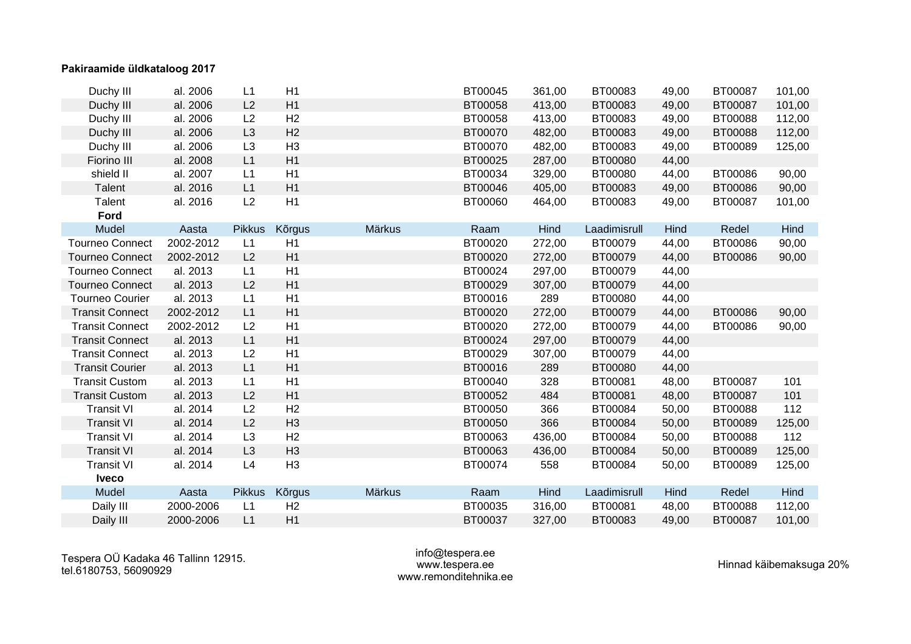| Duchy III              | al. 2006  | L1             | H1             |        | BT00045 | 361,00 | BT00083      | 49,00 | BT00087 | 101,00 |
|------------------------|-----------|----------------|----------------|--------|---------|--------|--------------|-------|---------|--------|
| Duchy III              | al. 2006  | L2             | H1             |        | BT00058 | 413,00 | BT00083      | 49,00 | BT00087 | 101,00 |
| Duchy III              | al. 2006  | L2             | H <sub>2</sub> |        | BT00058 | 413,00 | BT00083      | 49,00 | BT00088 | 112,00 |
| Duchy III              | al. 2006  | L <sub>3</sub> | H <sub>2</sub> |        | BT00070 | 482,00 | BT00083      | 49,00 | BT00088 | 112,00 |
| Duchy III              | al. 2006  | L <sub>3</sub> | H <sub>3</sub> |        | BT00070 | 482,00 | BT00083      | 49,00 | BT00089 | 125,00 |
| Fiorino III            | al. 2008  | L1             | H1             |        | BT00025 | 287,00 | BT00080      | 44,00 |         |        |
| shield II              | al. 2007  | L1             | H1             |        | BT00034 | 329,00 | BT00080      | 44,00 | BT00086 | 90,00  |
| Talent                 | al. 2016  | L1             | H1             |        | BT00046 | 405,00 | BT00083      | 49,00 | BT00086 | 90,00  |
| Talent                 | al. 2016  | L2             | H1             |        | BT00060 | 464,00 | BT00083      | 49,00 | BT00087 | 101,00 |
| Ford                   |           |                |                |        |         |        |              |       |         |        |
| Mudel                  | Aasta     | <b>Pikkus</b>  | Kõrgus         | Märkus | Raam    | Hind   | Laadimisrull | Hind  | Redel   | Hind   |
| <b>Tourneo Connect</b> | 2002-2012 | L1             | H1             |        | BT00020 | 272,00 | BT00079      | 44,00 | BT00086 | 90,00  |
| <b>Tourneo Connect</b> | 2002-2012 | L2             | H1             |        | BT00020 | 272,00 | BT00079      | 44,00 | BT00086 | 90,00  |
| <b>Tourneo Connect</b> | al. 2013  | L1             | H1             |        | BT00024 | 297,00 | BT00079      | 44,00 |         |        |
| <b>Tourneo Connect</b> | al. 2013  | L2             | H1             |        | BT00029 | 307,00 | BT00079      | 44,00 |         |        |
| <b>Tourneo Courier</b> | al. 2013  | L1             | H1             |        | BT00016 | 289    | BT00080      | 44,00 |         |        |
| <b>Transit Connect</b> | 2002-2012 | L1             | H1             |        | BT00020 | 272,00 | BT00079      | 44,00 | BT00086 | 90,00  |
| <b>Transit Connect</b> | 2002-2012 | L2             | H1             |        | BT00020 | 272,00 | BT00079      | 44,00 | BT00086 | 90,00  |
| <b>Transit Connect</b> | al. 2013  | L1             | H1             |        | BT00024 | 297,00 | BT00079      | 44,00 |         |        |
| <b>Transit Connect</b> | al. 2013  | L2             | H1             |        | BT00029 | 307,00 | BT00079      | 44,00 |         |        |
| <b>Transit Courier</b> | al. 2013  | L1             | H1             |        | BT00016 | 289    | BT00080      | 44,00 |         |        |
| <b>Transit Custom</b>  | al. 2013  | L1             | H1             |        | BT00040 | 328    | BT00081      | 48,00 | BT00087 | 101    |
| <b>Transit Custom</b>  | al. 2013  | L2             | H1             |        | BT00052 | 484    | BT00081      | 48,00 | BT00087 | 101    |
| <b>Transit VI</b>      | al. 2014  | L2             | H <sub>2</sub> |        | BT00050 | 366    | BT00084      | 50,00 | BT00088 | 112    |
| <b>Transit VI</b>      | al. 2014  | L2             | H <sub>3</sub> |        | BT00050 | 366    | BT00084      | 50,00 | BT00089 | 125,00 |
| <b>Transit VI</b>      | al. 2014  | L <sub>3</sub> | H <sub>2</sub> |        | BT00063 | 436,00 | BT00084      | 50,00 | BT00088 | 112    |
| <b>Transit VI</b>      | al. 2014  | L <sub>3</sub> | H <sub>3</sub> |        | BT00063 | 436,00 | BT00084      | 50,00 | BT00089 | 125,00 |
| <b>Transit VI</b>      | al. 2014  | L4             | H <sub>3</sub> |        | BT00074 | 558    | BT00084      | 50,00 | BT00089 | 125,00 |
| <b>Iveco</b>           |           |                |                |        |         |        |              |       |         |        |
| Mudel                  | Aasta     | <b>Pikkus</b>  | Kõrgus         | Märkus | Raam    | Hind   | Laadimisrull | Hind  | Redel   | Hind   |
| Daily III              | 2000-2006 | L1             | H <sub>2</sub> |        | BT00035 | 316,00 | BT00081      | 48,00 | BT00088 | 112,00 |
| Daily III              | 2000-2006 | L1             | H1             |        | BT00037 | 327,00 | BT00083      | 49,00 | BT00087 | 101,00 |

#### info@tespera.ee www.tespera.ee www.remonditehnika.ee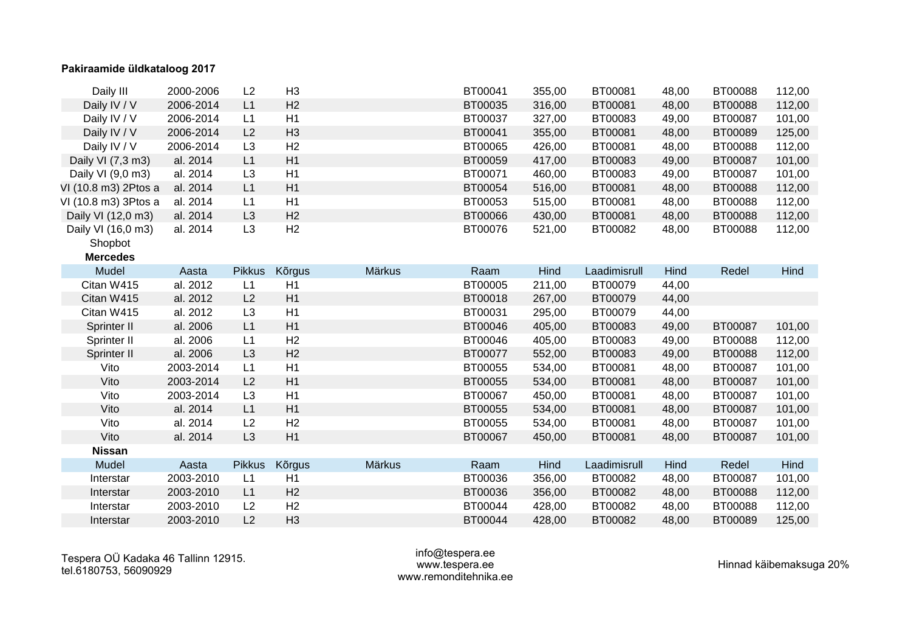| Daily III            | 2000-2006 | L2             | H <sub>3</sub> |        | BT00041 | 355,00 | BT00081      | 48,00 | BT00088 | 112,00 |
|----------------------|-----------|----------------|----------------|--------|---------|--------|--------------|-------|---------|--------|
| Daily IV / V         | 2006-2014 | L1             | H2             |        | BT00035 | 316,00 | BT00081      | 48,00 | BT00088 | 112,00 |
| Daily IV / V         | 2006-2014 | L1             | H1             |        | BT00037 | 327,00 | BT00083      | 49,00 | BT00087 | 101,00 |
| Daily IV / V         | 2006-2014 | L2             | H <sub>3</sub> |        | BT00041 | 355,00 | BT00081      | 48,00 | BT00089 | 125,00 |
| Daily IV / V         | 2006-2014 | L <sub>3</sub> | H <sub>2</sub> |        | BT00065 | 426,00 | BT00081      | 48,00 | BT00088 | 112,00 |
| Daily VI (7,3 m3)    | al. 2014  | L1             | H1             |        | BT00059 | 417,00 | BT00083      | 49,00 | BT00087 | 101,00 |
| Daily VI (9,0 m3)    | al. 2014  | L <sub>3</sub> | H1             |        | BT00071 | 460,00 | BT00083      | 49,00 | BT00087 | 101,00 |
| VI (10.8 m3) 2Ptos a | al. 2014  | L1             | H1             |        | BT00054 | 516,00 | BT00081      | 48,00 | BT00088 | 112,00 |
| VI (10.8 m3) 3Ptos a | al. 2014  | L1             | H1             |        | BT00053 | 515,00 | BT00081      | 48,00 | BT00088 | 112,00 |
| Daily VI (12,0 m3)   | al. 2014  | L <sub>3</sub> | H <sub>2</sub> |        | BT00066 | 430,00 | BT00081      | 48,00 | BT00088 | 112,00 |
| Daily VI (16,0 m3)   | al. 2014  | L3             | H2             |        | BT00076 | 521,00 | BT00082      | 48,00 | BT00088 | 112,00 |
| Shopbot              |           |                |                |        |         |        |              |       |         |        |
| <b>Mercedes</b>      |           |                |                |        |         |        |              |       |         |        |
| Mudel                | Aasta     | <b>Pikkus</b>  | Kõrgus         | Märkus | Raam    | Hind   | Laadimisrull | Hind  | Redel   | Hind   |
| Citan W415           | al. 2012  | L1             | H1             |        | BT00005 | 211,00 | BT00079      | 44,00 |         |        |
| Citan W415           | al. 2012  | L2             | H1             |        | BT00018 | 267,00 | BT00079      | 44,00 |         |        |
| Citan W415           | al. 2012  | L3             | H1             |        | BT00031 | 295,00 | BT00079      | 44,00 |         |        |
| Sprinter II          | al. 2006  | L1             | H1             |        | BT00046 | 405,00 | BT00083      | 49,00 | BT00087 | 101,00 |
| Sprinter II          | al. 2006  | L1             | H2             |        | BT00046 | 405,00 | BT00083      | 49,00 | BT00088 | 112,00 |
| Sprinter II          | al. 2006  | L <sub>3</sub> | H2             |        | BT00077 | 552,00 | BT00083      | 49,00 | BT00088 | 112,00 |
| Vito                 | 2003-2014 | L1             | H1             |        | BT00055 | 534,00 | BT00081      | 48,00 | BT00087 | 101,00 |
| Vito                 | 2003-2014 | L2             | H1             |        | BT00055 | 534,00 | BT00081      | 48,00 | BT00087 | 101,00 |
| Vito                 | 2003-2014 | L3             | H1             |        | BT00067 | 450,00 | BT00081      | 48,00 | BT00087 | 101,00 |
| Vito                 | al. 2014  | L1             | H1             |        | BT00055 | 534,00 | BT00081      | 48,00 | BT00087 | 101,00 |
| Vito                 | al. 2014  | L2             | H2             |        | BT00055 | 534,00 | BT00081      | 48,00 | BT00087 | 101,00 |
| Vito                 | al. 2014  | L <sub>3</sub> | H1             |        | BT00067 | 450,00 | BT00081      | 48,00 | BT00087 | 101,00 |
| <b>Nissan</b>        |           |                |                |        |         |        |              |       |         |        |
| Mudel                | Aasta     | <b>Pikkus</b>  | <b>Kõrgus</b>  | Märkus | Raam    | Hind   | Laadimisrull | Hind  | Redel   | Hind   |
| Interstar            | 2003-2010 | L1             | H1             |        | BT00036 | 356,00 | BT00082      | 48,00 | BT00087 | 101,00 |
| Interstar            | 2003-2010 | L1             | H <sub>2</sub> |        | BT00036 | 356,00 | BT00082      | 48,00 | BT00088 | 112,00 |
| Interstar            | 2003-2010 | L2             | H <sub>2</sub> |        | BT00044 | 428,00 | BT00082      | 48,00 | BT00088 | 112,00 |
| Interstar            | 2003-2010 | L2             | H <sub>3</sub> |        | BT00044 | 428,00 | BT00082      | 48,00 | BT00089 | 125,00 |

#### info@tespera.ee www.tespera.ee www.remonditehnika.ee

Hinnad käibemaksuga 20%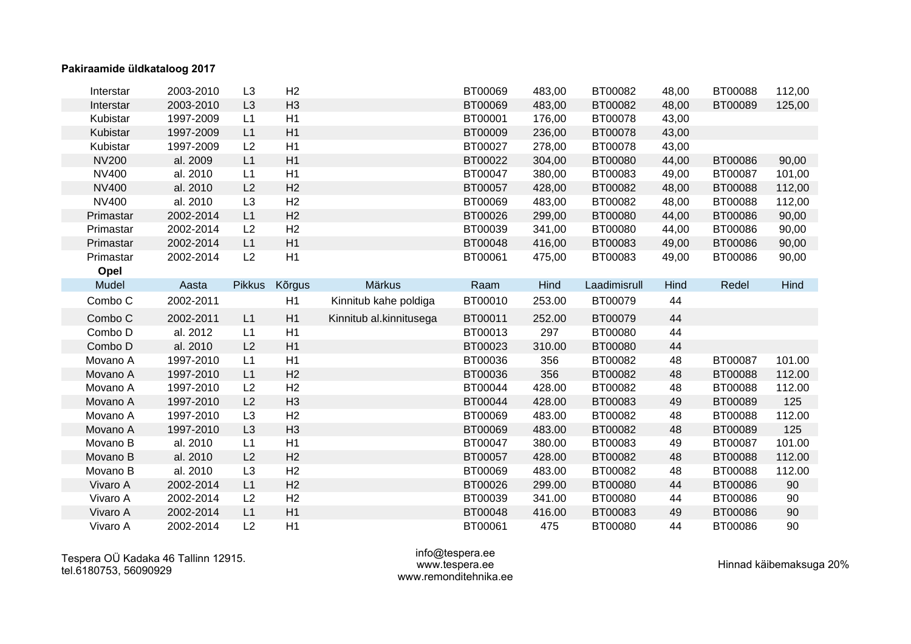| Interstar    | 2003-2010 | L <sub>3</sub> | H <sub>2</sub> |                         | BT00069 | 483,00 | BT00082      | 48,00 | BT00088 | 112,00 |
|--------------|-----------|----------------|----------------|-------------------------|---------|--------|--------------|-------|---------|--------|
| Interstar    | 2003-2010 | L <sub>3</sub> | H <sub>3</sub> |                         | BT00069 | 483,00 | BT00082      | 48,00 | BT00089 | 125,00 |
| Kubistar     | 1997-2009 | L1             | H1             |                         | BT00001 | 176,00 | BT00078      | 43,00 |         |        |
| Kubistar     | 1997-2009 | L1             | H1             |                         | BT00009 | 236,00 | BT00078      | 43,00 |         |        |
| Kubistar     | 1997-2009 | L2             | H1             |                         | BT00027 | 278,00 | BT00078      | 43,00 |         |        |
| <b>NV200</b> | al. 2009  | L1             | H1             |                         | BT00022 | 304,00 | BT00080      | 44,00 | BT00086 | 90,00  |
| NV400        | al. 2010  | L1             | H1             |                         | BT00047 | 380,00 | BT00083      | 49,00 | BT00087 | 101,00 |
| <b>NV400</b> | al. 2010  | L2             | H2             |                         | BT00057 | 428,00 | BT00082      | 48,00 | BT00088 | 112,00 |
| <b>NV400</b> | al. 2010  | L <sub>3</sub> | H2             |                         | BT00069 | 483,00 | BT00082      | 48,00 | BT00088 | 112,00 |
| Primastar    | 2002-2014 | L1             | H2             |                         | BT00026 | 299,00 | BT00080      | 44,00 | BT00086 | 90,00  |
| Primastar    | 2002-2014 | L2             | H <sub>2</sub> |                         | BT00039 | 341,00 | BT00080      | 44,00 | BT00086 | 90,00  |
| Primastar    | 2002-2014 | L1             | H1             |                         | BT00048 | 416,00 | BT00083      | 49,00 | BT00086 | 90,00  |
| Primastar    | 2002-2014 | L2             | H1             |                         | BT00061 | 475,00 | BT00083      | 49,00 | BT00086 | 90,00  |
| Opel         |           |                |                |                         |         |        |              |       |         |        |
| Mudel        | Aasta     | <b>Pikkus</b>  | Kõrgus         | Märkus                  | Raam    | Hind   | Laadimisrull | Hind  | Redel   | Hind   |
| Combo C      | 2002-2011 |                | H1             | Kinnitub kahe poldiga   | BT00010 | 253.00 | BT00079      | 44    |         |        |
| Combo C      | 2002-2011 |                | H1             | Kinnitub al.kinnitusega | BT00011 |        | BT00079      | 44    |         |        |
|              |           | L1             |                |                         |         | 252.00 |              |       |         |        |
| Combo D      | al. 2012  | L1             | H1             |                         | BT00013 | 297    | BT00080      | 44    |         |        |
| Combo D      | al. 2010  | L2             | H1             |                         | BT00023 | 310.00 | BT00080      | 44    |         |        |
| Movano A     | 1997-2010 | L1             | H1             |                         | BT00036 | 356    | BT00082      | 48    | BT00087 | 101.00 |
| Movano A     | 1997-2010 | L1             | H <sub>2</sub> |                         | BT00036 | 356    | BT00082      | 48    | BT00088 | 112.00 |
| Movano A     | 1997-2010 | L2             | H <sub>2</sub> |                         | BT00044 | 428.00 | BT00082      | 48    | BT00088 | 112.00 |
| Movano A     | 1997-2010 | L2             | H <sub>3</sub> |                         | BT00044 | 428.00 | BT00083      | 49    | BT00089 | 125    |
| Movano A     | 1997-2010 | L <sub>3</sub> | H <sub>2</sub> |                         | BT00069 | 483.00 | BT00082      | 48    | BT00088 | 112.00 |
| Movano A     | 1997-2010 | L <sub>3</sub> | H <sub>3</sub> |                         | BT00069 | 483.00 | BT00082      | 48    | BT00089 | 125    |
| Movano B     | al. 2010  | L1             | H1             |                         | BT00047 | 380.00 | BT00083      | 49    | BT00087 | 101.00 |
| Movano B     | al. 2010  | L2             | H2             |                         | BT00057 | 428.00 | BT00082      | 48    | BT00088 | 112.00 |
| Movano B     | al. 2010  | L <sub>3</sub> | H <sub>2</sub> |                         | BT00069 | 483.00 | BT00082      | 48    | BT00088 | 112.00 |
| Vivaro A     | 2002-2014 | L1             | H2             |                         | BT00026 | 299.00 | BT00080      | 44    | BT00086 | 90     |
| Vivaro A     | 2002-2014 | L2             | H <sub>2</sub> |                         | BT00039 | 341.00 | BT00080      | 44    | BT00086 | 90     |
| Vivaro A     | 2002-2014 | L1             | H1             |                         | BT00048 | 416.00 | BT00083      | 49    | BT00086 | $90\,$ |

#### info@tespera.ee www.tespera.ee www.remonditehnika.ee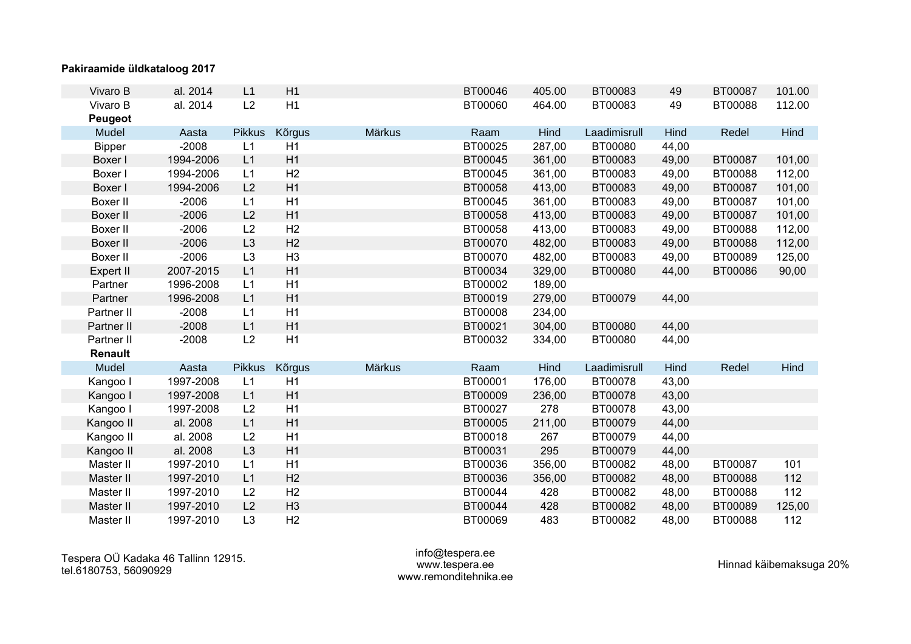| Vivaro B        | al. 2014  | L1             | H1             |        | BT00046 | 405.00 | BT00083      | 49    | BT00087 | 101.00 |
|-----------------|-----------|----------------|----------------|--------|---------|--------|--------------|-------|---------|--------|
| Vivaro B        | al. 2014  | L2             | H1             |        | BT00060 | 464.00 | BT00083      | 49    | BT00088 | 112.00 |
| <b>Peugeot</b>  |           |                |                |        |         |        |              |       |         |        |
| Mudel           | Aasta     | <b>Pikkus</b>  | <b>Kõrgus</b>  | Märkus | Raam    | Hind   | Laadimisrull | Hind  | Redel   | Hind   |
| <b>Bipper</b>   | $-2008$   | L1             | H1             |        | BT00025 | 287,00 | BT00080      | 44,00 |         |        |
| Boxer I         | 1994-2006 | L1             | H1             |        | BT00045 | 361,00 | BT00083      | 49,00 | BT00087 | 101,00 |
| Boxer I         | 1994-2006 | L1             | H <sub>2</sub> |        | BT00045 | 361,00 | BT00083      | 49,00 | BT00088 | 112,00 |
| Boxer I         | 1994-2006 | L2             | H1             |        | BT00058 | 413,00 | BT00083      | 49,00 | BT00087 | 101,00 |
| Boxer II        | $-2006$   | L1             | H1             |        | BT00045 | 361,00 | BT00083      | 49,00 | BT00087 | 101,00 |
| <b>Boxer II</b> | $-2006$   | L2             | H1             |        | BT00058 | 413,00 | BT00083      | 49,00 | BT00087 | 101,00 |
| <b>Boxer II</b> | $-2006$   | L2             | H <sub>2</sub> |        | BT00058 | 413,00 | BT00083      | 49,00 | BT00088 | 112,00 |
| <b>Boxer II</b> | $-2006$   | L <sub>3</sub> | H <sub>2</sub> |        | BT00070 | 482,00 | BT00083      | 49,00 | BT00088 | 112,00 |
| Boxer II        | $-2006$   | L <sub>3</sub> | H <sub>3</sub> |        | BT00070 | 482,00 | BT00083      | 49,00 | BT00089 | 125,00 |
| Expert II       | 2007-2015 | L1             | H1             |        | BT00034 | 329,00 | BT00080      | 44,00 | BT00086 | 90,00  |
| Partner         | 1996-2008 | L1             | H1             |        | BT00002 | 189,00 |              |       |         |        |
| Partner         | 1996-2008 | L1             | H1             |        | BT00019 | 279,00 | BT00079      | 44,00 |         |        |
| Partner II      | $-2008$   | L1             | H1             |        | BT00008 | 234,00 |              |       |         |        |
| Partner II      | $-2008$   | L1             | H1             |        | BT00021 | 304,00 | BT00080      | 44,00 |         |        |
| Partner II      | $-2008$   | L2             | H1             |        | BT00032 | 334,00 | BT00080      | 44,00 |         |        |
| Renault         |           |                |                |        |         |        |              |       |         |        |
| Mudel           | Aasta     | <b>Pikkus</b>  | Kõrgus         | Märkus | Raam    | Hind   | Laadimisrull | Hind  | Redel   | Hind   |
| Kangoo I        | 1997-2008 | L1             | H1             |        | BT00001 | 176,00 | BT00078      | 43,00 |         |        |
| Kangoo I        | 1997-2008 | L1             | H1             |        | BT00009 | 236,00 | BT00078      | 43,00 |         |        |
| Kangoo I        | 1997-2008 | L2             | H1             |        | BT00027 | 278    | BT00078      | 43,00 |         |        |
| Kangoo II       | al. 2008  | L1             | H1             |        | BT00005 | 211,00 | BT00079      | 44,00 |         |        |
| Kangoo II       | al. 2008  | L2             | H1             |        | BT00018 | 267    | BT00079      | 44,00 |         |        |
| Kangoo II       | al. 2008  | L <sub>3</sub> | H1             |        | BT00031 | 295    | BT00079      | 44,00 |         |        |
| Master II       | 1997-2010 | L1             | H1             |        | BT00036 | 356,00 | BT00082      | 48,00 | BT00087 | 101    |
| Master II       | 1997-2010 | L1             | H2             |        | BT00036 | 356,00 | BT00082      | 48,00 | BT00088 | 112    |
| Master II       | 1997-2010 | L2             | H <sub>2</sub> |        | BT00044 | 428    | BT00082      | 48,00 | BT00088 | 112    |
| Master II       | 1997-2010 | L2             | H <sub>3</sub> |        | BT00044 | 428    | BT00082      | 48,00 | BT00089 | 125,00 |
| Master II       | 1997-2010 | L3             | H <sub>2</sub> |        | BT00069 | 483    | BT00082      | 48,00 | BT00088 | 112    |

Tespera OÜ Kadaka 46 Tallinn 12915. tel.6180753, 56090929

#### info@tespera.ee www.tespera.ee www.remonditehnika.ee

Hinnad käibemaksuga 20%